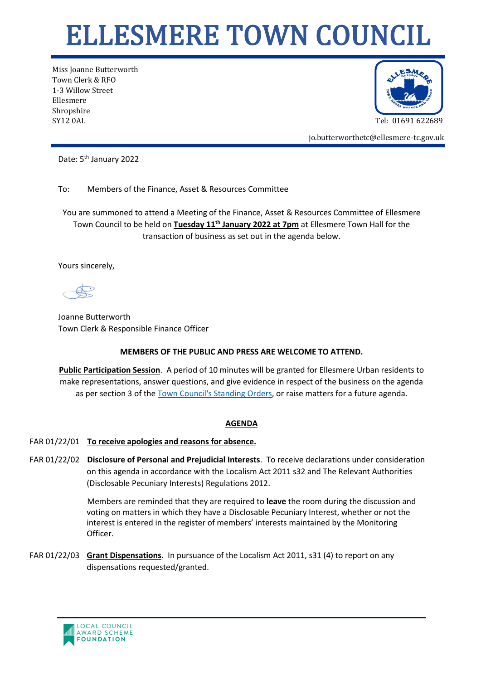## ELLESMERE TOWN COUNCIL

Miss Joanne Butterworth Town Clerk & RFO 1-3 Willow Street Ellesmere Shropshire SY12 0AL Tel: 01691 622689



jo.butterworthetc@ellesmere-tc.gov.uk

Date: 5<sup>th</sup> January 2022

To: Members of the Finance, Asset & Resources Committee

You are summoned to attend a Meeting of the Finance, Asset & Resources Committee of Ellesmere Town Council to be held on **Tuesday 11th January 2022 at 7pm** at Ellesmere Town Hall for the transaction of business as set out in the agenda below.

Yours sincerely,

Joanne Butterworth Town Clerk & Responsible Finance Officer

## **MEMBERS OF THE PUBLIC AND PRESS ARE WELCOME TO ATTEND.**

**Public Participation Session**. A period of 10 minutes will be granted for Ellesmere Urban residents to make representations, answer questions, and give evidence in respect of the business on the agenda as per section 3 of the [Town Council's Standing Orders,](https://ellesmere-tc.gov.uk/wp-content/uploads/2020/11/Standing-Orders-2020-England.pdf) or raise matters for a future agenda.

## **AGENDA**

## FAR 01/22/01 **To receive apologies and reasons for absence.**

FAR 01/22/02 **Disclosure of Personal and Prejudicial Interests**. To receive declarations under consideration on this agenda in accordance with the Localism Act 2011 s32 and The Relevant Authorities (Disclosable Pecuniary Interests) Regulations 2012.

> Members are reminded that they are required to **leave** the room during the discussion and voting on matters in which they have a Disclosable Pecuniary Interest, whether or not the interest is entered in the register of members' interests maintained by the Monitoring Officer.

FAR 01/22/03 **Grant Dispensations**. In pursuance of the Localism Act 2011, s31 (4) to report on any dispensations requested/granted.